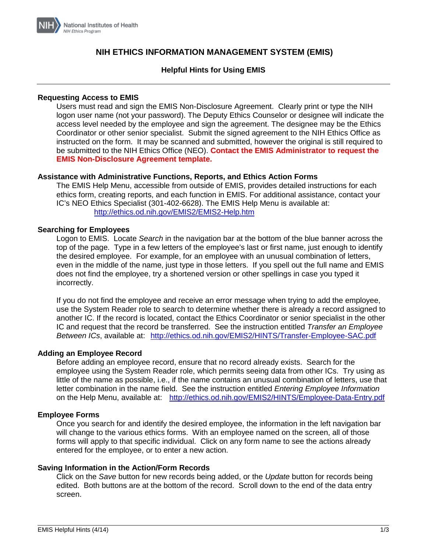

# **NIH ETHICS INFORMATION MANAGEMENT SYSTEM (EMIS)**

# **Helpful Hints for Using EMIS**

# **Requesting Access to EMIS**

Users must read and sign the EMIS Non-Disclosure Agreement. Clearly print or type the NIH logon user name (not your password). The Deputy Ethics Counselor or designee will indicate the access level needed by the employee and sign the agreement. The designee may be the Ethics Coordinator or other senior specialist. Submit the signed agreement to the NIH Ethics Office as instructed on the form. It may be scanned and submitted, however the original is still required to be submitted to the NIH Ethics Office (NEO). **Contact the EMIS Administrator to request the EMIS Non-Disclosure Agreement template.**

#### **Assistance with Administrative Functions, Reports, and Ethics Action Forms**

The EMIS Help Menu, accessible from outside of EMIS, provides detailed instructions for each ethics form, creating reports, and each function in EMIS. For additional assistance, contact your IC's NEO Ethics Specialist (301-402-6628). The EMIS Help Menu is available at: <http://ethics.od.nih.gov/EMIS2/EMIS2-Help.htm>

# **Searching for Employees**

Logon to EMIS. Locate *Search* in the navigation bar at the bottom of the blue banner across the top of the page. Type in a few letters of the employee's last or first name, just enough to identify the desired employee. For example, for an employee with an unusual combination of letters, even in the middle of the name, just type in those letters. If you spell out the full name and EMIS does not find the employee, try a shortened version or other spellings in case you typed it incorrectly.

If you do not find the employee and receive an error message when trying to add the employee, use the System Reader role to search to determine whether there is already a record assigned to another IC. If the record is located, contact the Ethics Coordinator or senior specialist in the other IC and request that the record be transferred. See the instruction entitled *Transfer an Employee Between ICs*, available at: <http://ethics.od.nih.gov/EMIS2/HINTS/Transfer-Employee-SAC.pdf>

# **Adding an Employee Record**

Before adding an employee record, ensure that no record already exists. Search for the employee using the System Reader role, which permits seeing data from other ICs. Try using as little of the name as possible, i.e., if the name contains an unusual combination of letters, use that letter combination in the name field. See the instruction entitled *Entering Employee Information* on the Help Menu, available at: <http://ethics.od.nih.gov/EMIS2/HINTS/Employee-Data-Entry.pdf>

#### **Employee Forms**

Once you search for and identify the desired employee, the information in the left navigation bar will change to the various ethics forms. With an employee named on the screen, all of those forms will apply to that specific individual. Click on any form name to see the actions already entered for the employee, or to enter a new action.

#### **Saving Information in the Action/Form Records**

Click on the *Save* button for new records being added, or the *Update* button for records being edited. Both buttons are at the bottom of the record. Scroll down to the end of the data entry screen.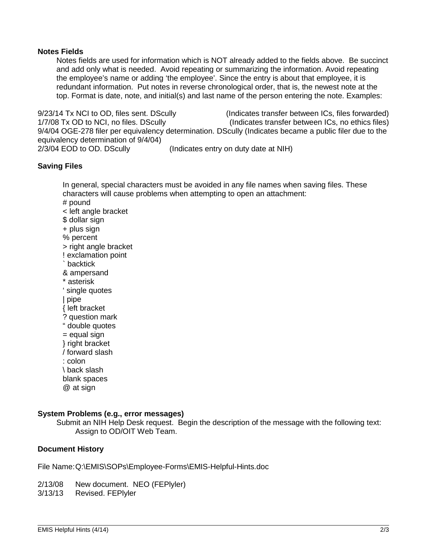# **Notes Fields**

Notes fields are used for information which is NOT already added to the fields above. Be succinct and add only what is needed. Avoid repeating or summarizing the information. Avoid repeating the employee's name or adding 'the employee'. Since the entry is about that employee, it is redundant information. Put notes in reverse chronological order, that is, the newest note at the top. Format is date, note, and initial(s) and last name of the person entering the note. Examples:

9/23/14 Tx NCI to OD, files sent. DScully (Indicates transfer between ICs, files forwarded) 1/7/08 Tx OD to NCI, no files. DScully (Indicates transfer between ICs, no ethics files) 9/4/04 OGE-278 filer per equivalency determination. DScully (Indicates became a public filer due to the equivalency determination of 9/4/04)<br>2/3/04 EOD to OD. DScully (Indicates entry on duty date at NIH)

# **Saving Files**

In general, special characters must be avoided in any file names when saving files. These characters will cause problems when attempting to open an attachment: # pound < left angle bracket \$ dollar sign + plus sign % percent > right angle bracket ! exclamation point ` backtick & ampersand \* asterisk ' single quotes | pipe { left bracket ? question mark " double quotes  $=$  equal sign } right bracket / forward slash : colon \ back slash blank spaces @ at sign

# **System Problems (e.g., error messages)**

Submit an NIH Help Desk request. Begin the description of the message with the following text: Assign to OD/OIT Web Team.

# **Document History**

File Name:Q:\EMIS\SOPs\Employee-Forms\EMIS-Helpful-Hints.doc

2/13/08 New document. NEO (FEPlyler)

3/13/13 Revised. FEPlyler